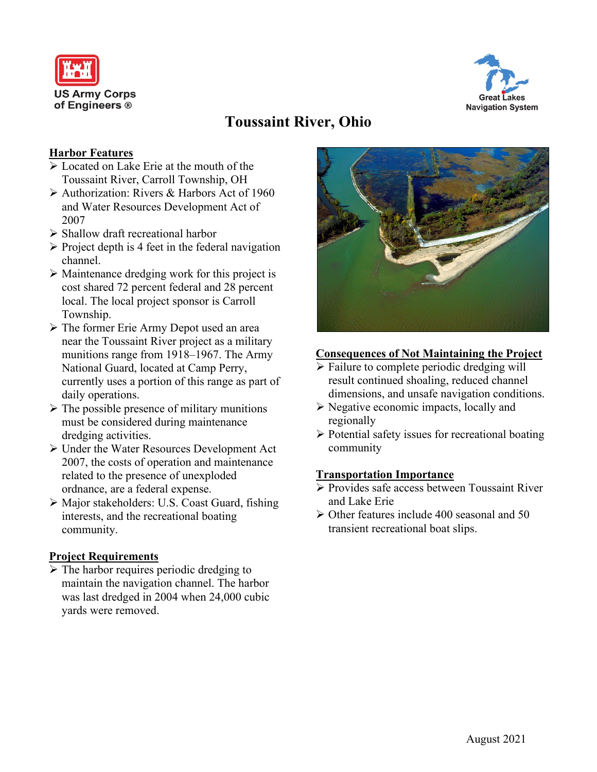



# **Toussaint River, Ohio**

#### **Harbor Features**

- $\triangleright$  Located on Lake Erie at the mouth of the Toussaint River, Carroll Township, OH
- $\triangleright$  Authorization: Rivers & Harbors Act of 1960 and Water Resources Development Act of 2007
- $\triangleright$  Shallow draft recreational harbor
- $\triangleright$  Project depth is 4 feet in the federal navigation channel.
- $\triangleright$  Maintenance dredging work for this project is cost shared 72 percent federal and 28 percent local. The local project sponsor is Carroll Township.
- The former Erie Army Depot used an area near the Toussaint River project as a military munitions range from 1918–1967. The Army National Guard, located at Camp Perry, currently uses a portion of this range as part of daily operations.
- $\triangleright$  The possible presence of military munitions must be considered during maintenance dredging activities.
- Under the Water Resources Development Act 2007, the costs of operation and maintenance related to the presence of unexploded ordnance, are a federal expense.
- Major stakeholders: U.S. Coast Guard, fishing interests, and the recreational boating community.

#### **Project Requirements**

 $\triangleright$  The harbor requires periodic dredging to maintain the navigation channel. The harbor was last dredged in 2004 when 24,000 cubic yards were removed.



### **Consequences of Not Maintaining the Project**

- $\triangleright$  Failure to complete periodic dredging will result continued shoaling, reduced channel dimensions, and unsafe navigation conditions.
- $\triangleright$  Negative economic impacts, locally and regionally
- $\triangleright$  Potential safety issues for recreational boating community

#### **Transportation Importance**

- Provides safe access between Toussaint River and Lake Erie
- Other features include 400 seasonal and 50 transient recreational boat slips.